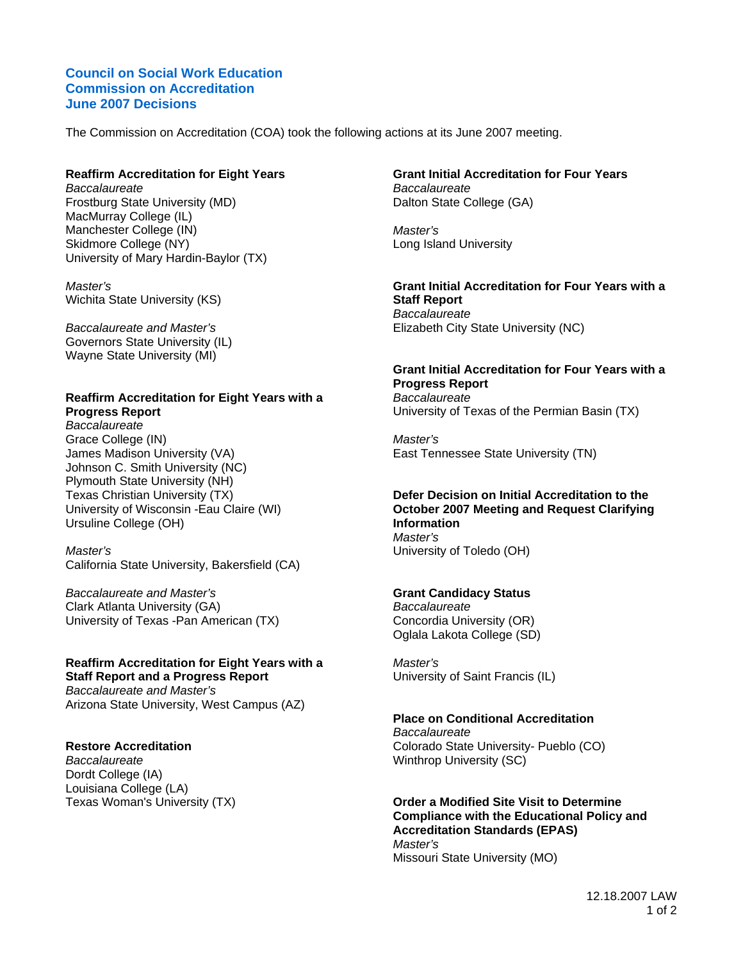### **Council on Social Work Education Commission on Accreditation June 2007 Decisions**

The Commission on Accreditation (COA) took the following actions at its June 2007 meeting.

#### **Reaffirm Accreditation for Eight Years**

*Baccalaureate*  Frostburg State University (MD) MacMurray College (IL) Manchester College (IN) Skidmore College (NY) University of Mary Hardin-Baylor (TX)

*Master's*  Wichita State University (KS)

*Baccalaureate and Master's*  Governors State University (IL) Wayne State University (MI)

#### **Reaffirm Accreditation for Eight Years with a Progress Report**

*Baccalaureate*  Grace College (IN) James Madison University (VA) Johnson C. Smith University (NC) Plymouth State University (NH) Texas Christian University (TX) University of Wisconsin -Eau Claire (WI) Ursuline College (OH)

#### *Master's*  California State University, Bakersfield (CA)

*Baccalaureate and Master's*  Clark Atlanta University (GA) University of Texas -Pan American (TX)

## **Reaffirm Accreditation for Eight Years with a Staff Report and a Progress Report**

*Baccalaureate and Master's*  Arizona State University, West Campus (AZ)

#### **Restore Accreditation**

*Baccalaureate*  Dordt College (IA) Louisiana College (LA) Texas Woman's University (TX)

#### **Grant Initial Accreditation for Four Years**  *Baccalaureate*  Dalton State College (GA)

*Master's*  Long Island University

**Grant Initial Accreditation for Four Years with a Staff Report**  *Baccalaureate*  Elizabeth City State University (NC)

## **Grant Initial Accreditation for Four Years with a Progress Report**

*Baccalaureate*  University of Texas of the Permian Basin (TX)

*Master's*  East Tennessee State University (TN)

## **Defer Decision on Initial Accreditation to the October 2007 Meeting and Request Clarifying Information**  *Master's*

University of Toledo (OH)

#### **Grant Candidacy Status**

*Baccalaureate*  Concordia University (OR) Oglala Lakota College (SD)

*Master's*  University of Saint Francis (IL)

#### **Place on Conditional Accreditation**

*Baccalaureate*  Colorado State University- Pueblo (CO) Winthrop University (SC)

**Order a Modified Site Visit to Determine Compliance with the Educational Policy and Accreditation Standards (EPAS)**  *Master's*  Missouri State University (MO)